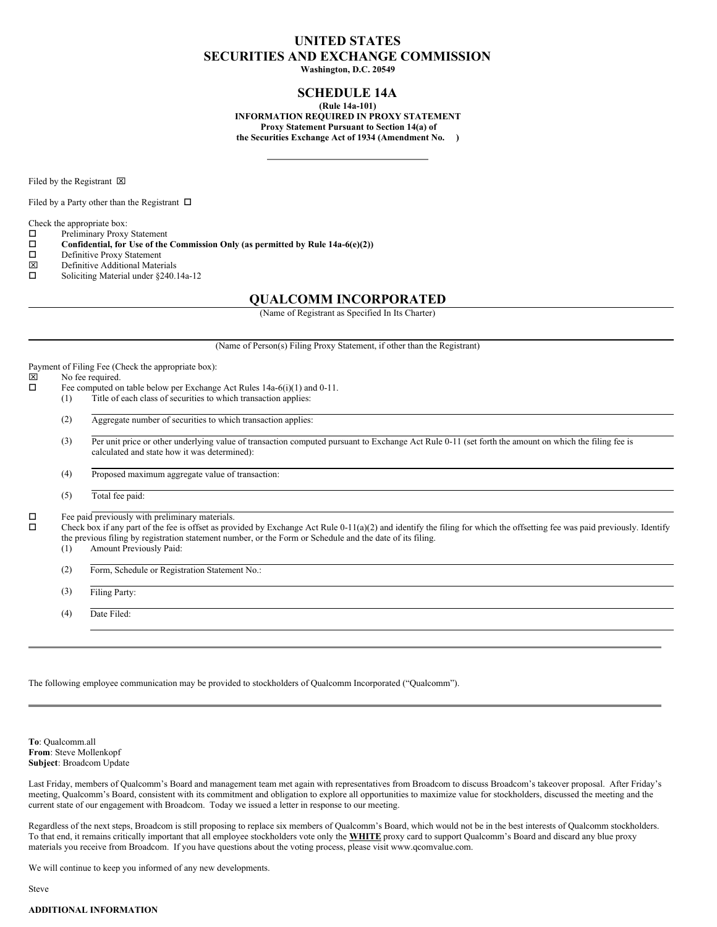# **UNITED STATES SECURITIES AND EXCHANGE COMMISSION**

**Washington, D.C. 20549**

## **SCHEDULE 14A**

**(Rule 14a-101) INFORMATION REQUIRED IN PROXY STATEMENT Proxy Statement Pursuant to Section 14(a) of the Securities Exchange Act of 1934 (Amendment No. )**

Filed by the Registrant  $\boxtimes$ 

Filed by a Party other than the Registrant  $\Box$ 

Check the appropriate box:

 $\square$  Preliminary Proxy Statement<br> $\square$  Confidential, for Use of the

**Confidential, for** Use of the Commission Only (as permitted by Rule  $14a-6(e)(2)$ )<br>  $\Box$  Definitive Proxy Statement

- □ Definitive Proxy Statement<br> **図** Definitive Additional Mater
- $\boxtimes$  Definitive Additional Materials<br> $\square$  Soliciting Material under \$240.
- Soliciting Material under §240.14a-12

### **QUALCOMM INCORPORATED**

(Name of Registrant as Specified In Its Charter)

(Name of Person(s) Filing Proxy Statement, if other than the Registrant)

Payment of Filing Fee (Check the appropriate box):  $\boxtimes$  No fee required.<br>  $\Box$  Fee computed on Fee computed on table below per Exchange Act Rules 14a-6(i)(1) and 0-11. (1) Title of each class of securities to which transaction applies: (2) Aggregate number of securities to which transaction applies: (3) Per unit price or other underlying value of transaction computed pursuant to Exchange Act Rule 0-11 (set forth the amount on which the filing fee is calculated and state how it was determined): (4) Proposed maximum aggregate value of transaction: (5) Total fee paid:  $\Box$  Fee paid previously with preliminary materials.<br> $\Box$  Check box if any part of the fee is offeet as provided. o Check box if any part of the fee is offset as provided by Exchange Act Rule 0-11(a)(2) and identify the filing for which the offsetting fee was paid previously. Identify the previous filing by registration statement number, or the Form or Schedule and the date of its filing. (1) Amount Previously Paid: (2) Form, Schedule or Registration Statement No.: (3) Filing Party: (4) Date Filed:

The following employee communication may be provided to stockholders of Qualcomm Incorporated ("Qualcomm").

**To**: Qualcomm.all **From**: Steve Mollenkopf **Subject**: Broadcom Update

Last Friday, members of Qualcomm's Board and management team met again with representatives from Broadcom to discuss Broadcom's takeover proposal. After Friday's meeting, Qualcomm's Board, consistent with its commitment and obligation to explore all opportunities to maximize value for stockholders, discussed the meeting and the current state of our engagement with Broadcom. Today we issued a letter in response to our meeting.

Regardless of the next steps, Broadcom is still proposing to replace six members of Qualcomm's Board, which would not be in the best interests of Qualcomm stockholders. To that end, it remains critically important that all employee stockholders vote only the **WHITE** proxy card to support Qualcomm's Board and discard any blue proxy materials you receive from Broadcom. If you have questions about the voting process, please visit www.qcomvalue.com.

We will continue to keep you informed of any new developments.

Steve

#### **ADDITIONAL INFORMATION**